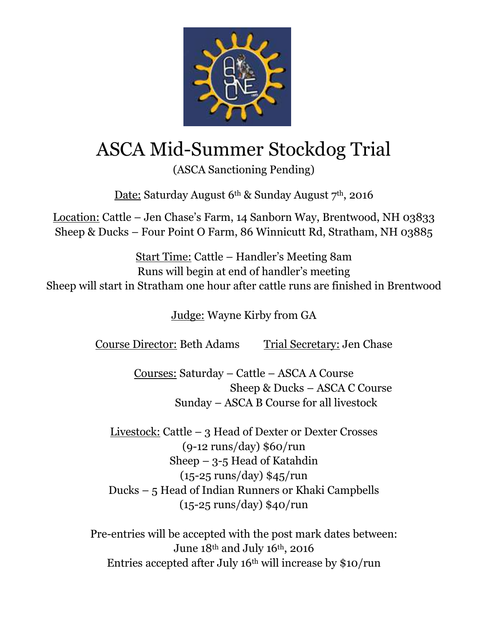

## ASCA Mid-Summer Stockdog Trial

(ASCA Sanctioning Pending)

Date: Saturday August 6<sup>th</sup> & Sunday August 7<sup>th</sup>, 2016

Location: Cattle – Jen Chase's Farm, 14 Sanborn Way, Brentwood, NH 03833 Sheep & Ducks – Four Point O Farm, 86 Winnicutt Rd, Stratham, NH 03885

Start Time: Cattle – Handler's Meeting 8am Runs will begin at end of handler's meeting Sheep will start in Stratham one hour after cattle runs are finished in Brentwood

Judge: Wayne Kirby from GA

Course Director: Beth Adams Trial Secretary: Jen Chase

Courses: Saturday – Cattle – ASCA A Course Sheep & Ducks – ASCA C Course Sunday – ASCA B Course for all livestock

Livestock: Cattle – 3 Head of Dexter or Dexter Crosses (9-12 runs/day) \$60/run Sheep – 3-5 Head of Katahdin (15-25 runs/day) \$45/run Ducks – 5 Head of Indian Runners or Khaki Campbells (15-25 runs/day) \$40/run

Pre-entries will be accepted with the post mark dates between: June 18th and July 16th, 2016 Entries accepted after July 16th will increase by \$10/run